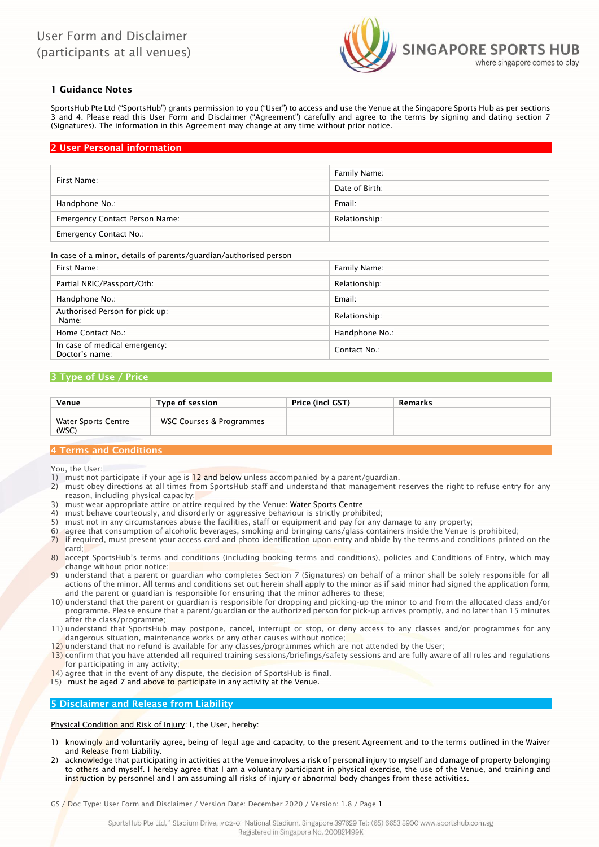

# 1 Guidance Notes

SportsHub Pte Ltd ("SportsHub") grants permission to you ("User") to access and use the Venue at the Singapore Sports Hub as per sections 3 and 4. Please read this User Form and Disclaimer ("Agreement") carefully and agree to the terms by signing and dating section 7 (Signatures). The information in this Agreement may change at any time without prior notice.

# 2 User Personal information

| First Name:                           | Family Name:   |
|---------------------------------------|----------------|
|                                       | Date of Birth: |
| Handphone No.:                        | Email:         |
| <b>Emergency Contact Person Name:</b> | Relationship:  |
| <b>Emergency Contact No.:</b>         |                |

### In case of a minor, details of parents/guardian/authorised person

| First Name:                                     | Family Name:   |
|-------------------------------------------------|----------------|
| Partial NRIC/Passport/Oth:                      | Relationship:  |
| Handphone No.:                                  | Email:         |
| Authorised Person for pick up:<br>Name:         | Relationship:  |
| Home Contact No.:                               | Handphone No.: |
| In case of medical emergency:<br>Doctor's name: | Contact No.:   |

## 3 Type of Use / Price

| Venue                        | Type of session          | Price (incl GST) | Remarks |
|------------------------------|--------------------------|------------------|---------|
| Water Sports Centre<br>(WSC) | WSC Courses & Programmes |                  |         |

# 4 Terms and Conditions

You, the User:

- 1) must not participate if your age is 12 and below unless accompanied by a parent/guardian.
- 2) must obey directions at all times from SportsHub staff and understand that management reserves the right to refuse entry for any reason, including physical capacity;
- 3) must wear appropriate attire or attire required by the Venue: Water Sports Centre
- 4) must behave courteously, and disorderly or aggressive behaviour is strictly prohibited;
- 5) must not in any circumstances abuse the facilities, staff or equipment and pay for any damage to any property;
- 6) agree that consumption of alcoholic beverages, smoking and bringing cans/glass containers inside the Venue is prohibited;
- 7) if required, must present your access card and photo identification upon entry and abide by the terms and conditions printed on the card;
- 8) accept SportsHub's terms and conditions (including booking terms and conditions), policies and Conditions of Entry, which may change without prior notice;
- 9) understand that a parent or guardian who completes Section 7 (Signatures) on behalf of a minor shall be solely responsible for all actions of the minor. All terms and conditions set out herein shall apply to the minor as if said minor had signed the application form, and the parent or guardian is responsible for ensuring that the minor adheres to these;
- 10) understand that the parent or guardian is responsible for dropping and picking-up the minor to and from the allocated class and/or programme. Please ensure that a parent/guardian or the authorized person for pick-up arrives promptly, and no later than 15 minutes after the class/programme;
- 11) understand that SportsHub may postpone, cancel, interrupt or stop, or deny access to any classes and/or programmes for any dangerous situation, maintenance works or any other causes without notice;
- $12$ ) understand that no refund is available for any classes/programmes which are not attended by the User;
- 13) confirm that you have attended all required training sessions/briefings/safety sessions and are fully aware of all rules and regulations for participating in any activity;
- 14) agree that in the event of any dispute, the decision of SportsHub is final.
- 15) must be aged 7 and above to participate in any activity at the Venue.

## 5 Disclaimer and Release from Liability

Physical Condition and Risk of Injury: I, the User, hereby:

- knowingly and voluntarily agree, being of legal age and capacity, to the present Agreement and to the terms outlined in the Waiver and Release from Liability.
- 2) acknowledge that participating in activities at the Venue involves a risk of personal injury to myself and damage of property belonging to others and myself. I hereby agree that I am a voluntary participant in physical exercise, the use of the Venue, and training and instruction by personnel and I am assuming all risks of injury or abnormal body changes from these activities.

GS / Doc Type: User Form and Disclaimer / Version Date: December 2020 / Version: 1.8 / Page 1